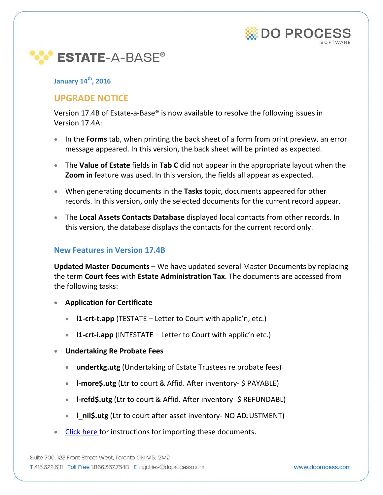



### **January 14th, 2016**

# **UPGRADE NOTICE**

Version 17.4B of Estate-a-Base® is now available to resolve the following issues in Version 17.4A:

- In the **Forms** tab, when printing the back sheet of a form from print preview, an error message appeared. In this version, the back sheet will be printed as expected.
- The **Value of Estate** fields in **Tab C** did not appear in the appropriate layout when the **Zoom in** feature was used. In this version, the fields all appear as expected.
- When generating documents in the **Tasks** topic, documents appeared for other records. In this version, only the selected documents for the current record appear.
- The **Local Assets Contacts Database** displayed local contacts from other records. In this version, the database displays the contacts for the current record only.

### **New Features in Version 17.4B**

**Updated Master Documents** – We have updated several Master Documents by replacing the term **Court fees** with **Estate Administration Tax**. The documents are accessed from the following tasks:

- **Application for Certificate**
	- **l1-crt-t.app** (TESTATE Letter to Court with applic'n, etc.)
	- **l1-crt-i.app** (INTESTATE Letter to Court with applic'n etc.)
- **Undertaking Re Probate Fees**
	- **undertkg.utg** (Undertaking of Estate Trustees re probate fees)
	- **l-more\$.utg** (Ltr to court & Affid. After inventory- \$ PAYABLE)
	- **I-refd\$.utg** (Ltr to court & Affid. After inventory- \$ REFUNDABL)
	- **l\_nil\$.utg** (Ltr to court after asset inventory- NO ADJUSTMENT)
- **[Click here f](#page-1-0)or instructions for importing these documents.**

Suite 700, 123 Front Street West, Toronto ON M5J 2M2 T 416.322.6111 Toll Free 1.866.367.7648 E inquiries@doprocess.com